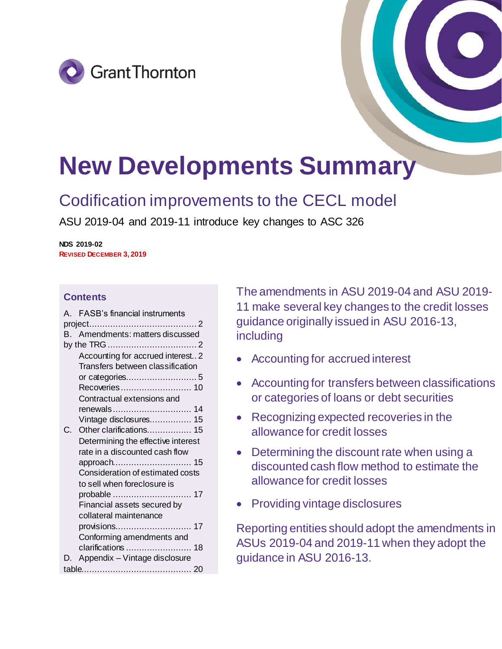



# **New Developments Summary**

## Codification improvements to the CECL model

ASU 2019-04 and 2019-11 introduce key changes to ASC 326

**NDS 2019-02 REVISED DECEMBER 3, 2019**

## **Contents**

|  | A. FASB's financial instruments    |  |  |  |  |  |  |
|--|------------------------------------|--|--|--|--|--|--|
|  |                                    |  |  |  |  |  |  |
|  | B. Amendments: matters discussed   |  |  |  |  |  |  |
|  |                                    |  |  |  |  |  |  |
|  | Accounting for accrued interest 2  |  |  |  |  |  |  |
|  | Transfers between classification   |  |  |  |  |  |  |
|  |                                    |  |  |  |  |  |  |
|  | Recoveries 10                      |  |  |  |  |  |  |
|  | Contractual extensions and         |  |  |  |  |  |  |
|  | renewals 14                        |  |  |  |  |  |  |
|  | Vintage disclosures 15             |  |  |  |  |  |  |
|  | Other clarifications 15            |  |  |  |  |  |  |
|  | Determining the effective interest |  |  |  |  |  |  |
|  | rate in a discounted cash flow     |  |  |  |  |  |  |
|  |                                    |  |  |  |  |  |  |
|  | Consideration of estimated costs   |  |  |  |  |  |  |
|  | to sell when foreclosure is        |  |  |  |  |  |  |
|  |                                    |  |  |  |  |  |  |
|  | Financial assets secured by        |  |  |  |  |  |  |
|  | collateral maintenance             |  |  |  |  |  |  |
|  |                                    |  |  |  |  |  |  |
|  | Conforming amendments and          |  |  |  |  |  |  |
|  |                                    |  |  |  |  |  |  |
|  | Appendix - Vintage disclosure      |  |  |  |  |  |  |
|  |                                    |  |  |  |  |  |  |
|  |                                    |  |  |  |  |  |  |

The amendments in ASU 2019-04 and ASU 2019- 11 make several key changes to the credit losses guidance originally issued in ASU 2016-13, including

- Accounting for accrued interest
- Accounting for transfers between classifications or categories of loans or debt securities
- Recognizing expected recoveries in the allowance for credit losses
- Determining the discount rate when using a discounted cash flow method to estimate the allowance for credit losses
- Providing vintage disclosures

Reporting entities should adopt the amendments in ASUs 2019-04 and 2019-11 when they adopt the guidance in ASU 2016-13.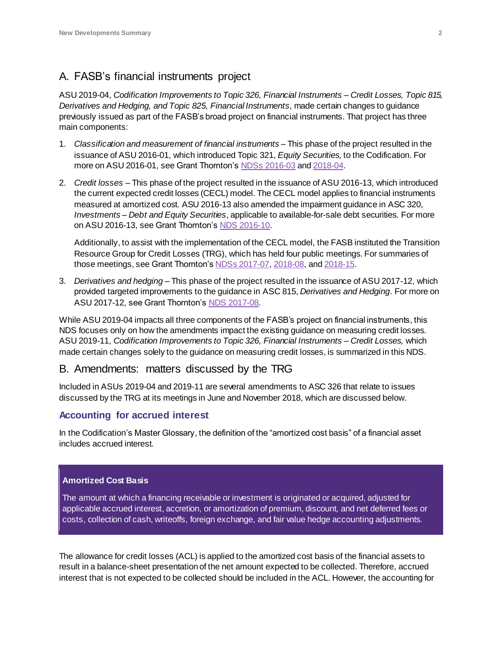## <span id="page-1-0"></span>A. FASB's financial instruments project

ASU 2019-04, *Codification Improvements to Topic 326, Financial Instruments – Credit Losses, Topic 815, Derivatives and Hedging, and Topic 825, Financial Instruments*, made certain changes to guidance previously issued as part of the FASB's broad project on financial instruments. That project has three main components:

- 1. *Classification and measurement of financial instruments* This phase of the project resulted in the issuance of ASU 2016-01, which introduced Topic 321, *Equity Securities,* to the Codification. For more on ASU 2016-01, see Grant Thornton's NDSs [2016-03](https://www.grantthornton.com/-/media/content-page-files/audit/pdfs/New-Developments-Summaries-2016/NDS-2016-03-Accounting-for-financial-instruments.ashx?la=en&hash=6AAB02DABF3215659265F47F56BAF815F451BB56) an[d 2018-04.](https://www.grantthornton.com/-/media/content-page-files/audit/pdfs/New-Developments-Summaries-2018/NDS-2018-03-FASB-clarifies-recognition-measurement.ashx)
- 2. *Credit losses* This phase of the project resulted in the issuance of ASU 2016-13, which introduced the current expected credit losses (CECL) model. The CECL model applies to financial instruments measured at amortized cost. ASU 2016-13 also amended the impairment guidance in ASC 320, *Investments – Debt and Equity Securities*, applicable to available-for-sale debt securities. For more on ASU 2016-13, see Grant Thornton'[s NDS 2016-10](https://www.grantthornton.com/-/media/content-page-files/audit/pdfs/New-Developments-Summaries-2016/NDS-2016-10-Measuring-credit-losses-on-financial-instruments.ashx?la=en&hash=C5EBCF06578E699C2D3DE5945D7D91389A16B5C6).

Additionally, to assist with the implementation of the CECL model, the FASB instituted the Transition Resource Group for Credit Losses (TRG), which has held four public meetings. For summaries of those meetings, see Grant Thornton's NDSs [2017-07](https://www.grantthornton.com/-/media/content-page-files/audit/pdfs/New-Developments-Summaries-2017/NDS-2017-07-TRG-Credit-Losses-meeting-issues.ashx)[, 2018-08](https://www.grantthornton.com/-/media/content-page-files/audit/pdfs/New-Developments-Summaries-2018/NDS-2018-08-TRG-meeting-highlights.ashx), an[d 2018-15](https://www.grantthornton.com/-/media/content-page-files/audit/pdfs/New-Developments-Summaries-2018/NDS-2018-15-TRG-for-Credit-Losses-issues.ashxx).

3. *Derivatives and hedging* – This phase of the project resulted in the issuance of ASU 2017-12, which provided targeted improvements to the guidance in ASC 815, *Derivatives and Hedging*. For more on ASU 2017-12, see Grant Thornton'[s NDS 2017-08](https://www.grantthornton.com/-/media/content-page-files/audit/pdfs/New-Developments-Summaries-2017/NDS-2017-08-targeted-improvements-hedge-accounting.ashx).

While ASU 2019-04 impacts all three components of the FASB's project on financial instruments, this NDS focuses only on how the amendments impact the existing guidance on measuring credit losses. ASU 2019-11, *Codification Improvements to Topic 326, Financial Instruments – Credit Losses,* which made certain changes solely to the guidance on measuring credit losses, is summarized in this NDS.

## <span id="page-1-1"></span>B. Amendments: matters discussed by the TRG

Included in ASUs 2019-04 and 2019-11 are several amendments to ASC 326 that relate to issues discussed by the TRG at its meetings in June and November 2018, which are discussed below.

## <span id="page-1-2"></span>**Accounting for accrued interest**

In the Codification's Master Glossary, the definition of the "amortized cost basis" of a financial asset includes accrued interest.

#### **Amortized Cost Basis**

The amount at which a financing receivable or investment is originated or acquired, adjusted for applicable accrued interest, accretion, or amortization of premium, discount, and net deferred fees or costs, collection of cash, writeoffs, foreign exchange, and fair value hedge accounting adjustments.

The allowance for credit losses (ACL) is applied to the amortized cost basis of the financial assets to result in a balance-sheet presentation of the net amount expected to be collected. Therefore, accrued interest that is not expected to be collected should be included in the ACL. However, the accounting for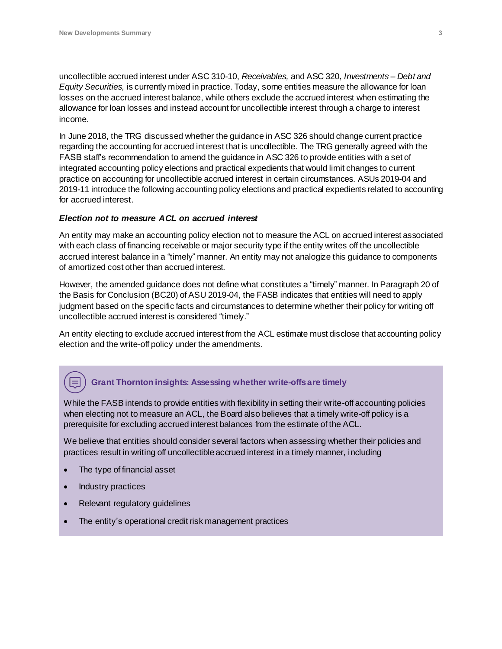uncollectible accrued interest under ASC 310-10, *Receivables,* and ASC 320, *Investments – Debt and Equity Securities,* is currently mixed in practice. Today, some entities measure the allowance for loan losses on the accrued interest balance, while others exclude the accrued interest when estimating the allowance for loan losses and instead account for uncollectible interest through a charge to interest income.

In June 2018, the TRG discussed whether the guidance in ASC 326 should change current practice regarding the accounting for accrued interest that is uncollectible. The TRG generally agreed with the FASB staff's recommendation to amend the guidance in ASC 326 to provide entities with a set of integrated accounting policy elections and practical expedients that would limit changes to current practice on accounting for uncollectible accrued interest in certain circumstances. ASUs 2019-04 and 2019-11 introduce the following accounting policy elections and practical expedients related to accounting for accrued interest.

#### *Election not to measure ACL on accrued interest*

An entity may make an accounting policy election not to measure the ACL on accrued interest associated with each class of financing receivable or major security type if the entity writes off the uncollectible accrued interest balance in a "timely" manner. An entity may not analogize this guidance to components of amortized cost other than accrued interest.

However, the amended guidance does not define what constitutes a "timely" manner. In Paragraph 20 of the Basis for Conclusion (BC20) of ASU 2019-04, the FASB indicates that entities will need to apply judgment based on the specific facts and circumstances to determine whether their policy for writing off uncollectible accrued interest is considered "timely."

An entity electing to exclude accrued interest from the ACL estimate must disclose that accounting policy election and the write-off policy under the amendments.

## **Grant Thornton insights: Assessing whether write-offs are timely**

While the FASB intends to provide entities with flexibility in setting their write-off accounting policies when electing not to measure an ACL, the Board also believes that a timely write-off policy is a prerequisite for excluding accrued interest balances from the estimate of the ACL.

We believe that entities should consider several factors when assessing whether their policies and practices result in writing off uncollectible accrued interest in a timely manner, including

- The type of financial asset
- Industry practices
- Relevant regulatory guidelines
- The entity's operational credit risk management practices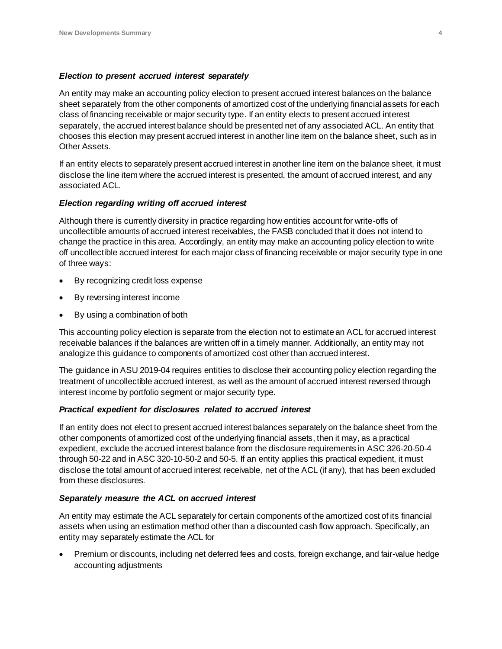#### *Election to present accrued interest separately*

An entity may make an accounting policy election to present accrued interest balances on the balance sheet separately from the other components of amortized cost of the underlying financial assets for each class of financing receivable or major security type. If an entity elects to present accrued interest separately, the accrued interest balance should be presented net of any associated ACL. An entity that chooses this election may present accrued interest in another line item on the balance sheet, such as in Other Assets.

If an entity elects to separately present accrued interest in another line item on the balance sheet, it must disclose the line item where the accrued interest is presented, the amount of accrued interest, and any associated ACL.

#### *Election regarding writing off accrued interest*

Although there is currently diversity in practice regarding how entities account for write-offs of uncollectible amounts of accrued interest receivables, the FASB concluded that it does not intend to change the practice in this area. Accordingly, an entity may make an accounting policy election to write off uncollectible accrued interest for each major class of financing receivable or major security type in one of three ways:

- By recognizing credit loss expense
- By reversing interest income
- By using a combination of both

This accounting policy election is separate from the election not to estimate an ACL for accrued interest receivable balances if the balances are written off in a timely manner. Additionally, an entity may not analogize this guidance to components of amortized cost other than accrued interest.

The guidance in ASU 2019-04 requires entities to disclose their accounting policy election regarding the treatment of uncollectible accrued interest, as well as the amount of accrued interest reversed through interest income by portfolio segment or major security type.

#### *Practical expedient for disclosures related to accrued interest*

If an entity does not elect to present accrued interest balances separately on the balance sheet from the other components of amortized cost of the underlying financial assets, then it may, as a practical expedient, exclude the accrued interest balance from the disclosure requirements in ASC 326-20-50-4 through 50-22 and in ASC 320-10-50-2 and 50-5. If an entity applies this practical expedient, it must disclose the total amount of accrued interest receivable, net of the ACL (if any), that has been excluded from these disclosures.

#### *Separately measure the ACL on accrued interest*

An entity may estimate the ACL separately for certain components of the amortized cost of its financial assets when using an estimation method other than a discounted cash flow approach. Specifically, an entity may separately estimate the ACL for

 Premium or discounts, including net deferred fees and costs, foreign exchange, and fair-value hedge accounting adjustments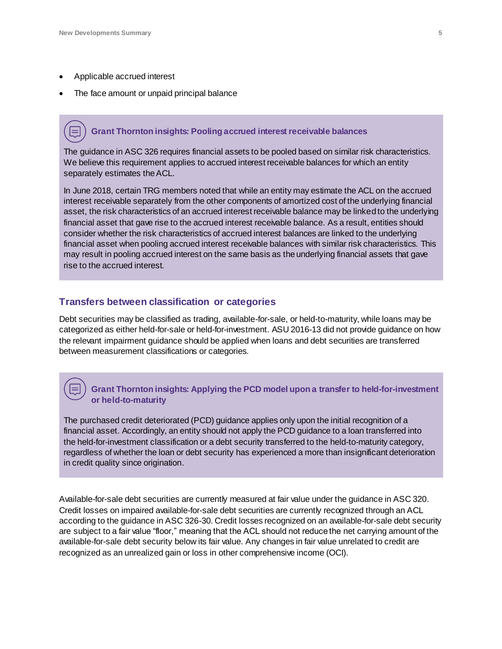- Applicable accrued interest
- The face amount or unpaid principal balance

## **Grant Thornton insights: Pooling accrued interest receivable balances**

The guidance in ASC 326 requires financial assets to be pooled based on similar risk characteristics. We believe this requirement applies to accrued interest receivable balances for which an entity separately estimates the ACL.

In June 2018, certain TRG members noted that while an entity may estimate the ACL on the accrued interest receivable separately from the other components of amortized cost of the underlying financial asset, the risk characteristics of an accrued interest receivable balance may be linked to the underlying financial asset that gave rise to the accrued interest receivable balance. As a result, entities should consider whether the risk characteristics of accrued interest balances are linked to the underlying financial asset when pooling accrued interest receivable balances with similar risk characteristics. This may result in pooling accrued interest on the same basis as the underlying financial assets that gave rise to the accrued interest.

#### <span id="page-4-0"></span>**Transfers between classification or categories**

Debt securities may be classified as trading, available-for-sale, or held-to-maturity, while loans may be categorized as either held-for-sale or held-for-investment. ASU 2016-13 did not provide guidance on how the relevant impairment guidance should be applied when loans and debt securities are transferred between measurement classifications or categories.

#### **Grant Thornton insights: Applying the PCD model upon a transfer to held-for-investment or held-to-maturity**

The purchased credit deteriorated (PCD) guidance applies only upon the initial recognition of a financial asset. Accordingly, an entity should not apply the PCD guidance to a loan transferred into the held-for-investment classification or a debt security transferred to the held-to-maturity category, regardless of whether the loan or debt security has experienced a more than insignificant deterioration in credit quality since origination.

Available-for-sale debt securities are currently measured at fair value under the guidance in ASC 320. Credit losses on impaired available-for-sale debt securities are currently recognized through an ACL according to the guidance in ASC 326-30. Credit losses recognized on an available-for-sale debt security are subject to a fair value "floor," meaning that the ACL should not reduce the net carrying amount of the available-for-sale debt security below its fair value. Any changes in fair value unrelated to credit are recognized as an unrealized gain or loss in other comprehensive income (OCI).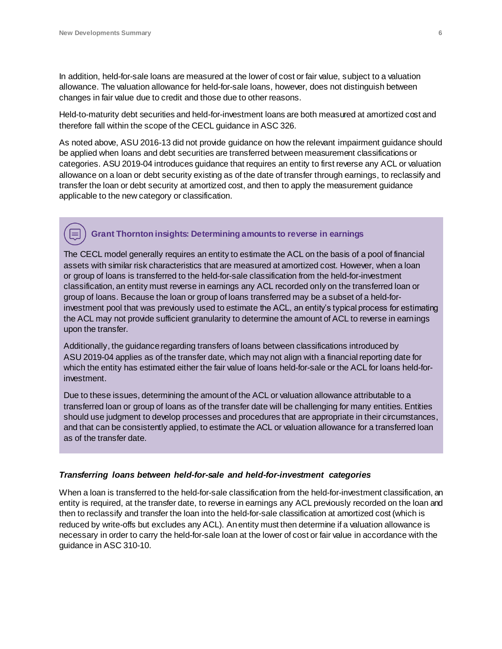In addition, held-for-sale loans are measured at the lower of cost or fair value, subject to a valuation allowance. The valuation allowance for held-for-sale loans, however, does not distinguish between changes in fair value due to credit and those due to other reasons.

Held-to-maturity debt securities and held-for-investment loans are both measured at amortized cost and therefore fall within the scope of the CECL guidance in ASC 326.

As noted above, ASU 2016-13 did not provide guidance on how the relevant impairment guidance should be applied when loans and debt securities are transferred between measurement classifications or categories. ASU 2019-04 introduces guidance that requires an entity to first reverse any ACL or valuation allowance on a loan or debt security existing as of the date of transfer through earnings, to reclassify and transfer the loan or debt security at amortized cost, and then to apply the measurement guidance applicable to the new category or classification.

## **Grant Thornton insights: Determining amounts to reverse in earnings**

The CECL model generally requires an entity to estimate the ACL on the basis of a pool of financial assets with similar risk characteristics that are measured at amortized cost. However, when a loan or group of loans is transferred to the held-for-sale classification from the held-for-investment classification, an entity must reverse in earnings any ACL recorded only on the transferred loan or group of loans. Because the loan or group of loans transferred may be a subset of a held-forinvestment pool that was previously used to estimate the ACL, an entity's typical process for estimating the ACL may not provide sufficient granularity to determine the amount of ACL to reverse in earnings upon the transfer.

Additionally, the guidance regarding transfers of loans between classifications introduced by ASU 2019-04 applies as of the transfer date, which may not align with a financial reporting date for which the entity has estimated either the fair value of loans held-for-sale or the ACL for loans held-forinvestment.

Due to these issues, determining the amount of the ACL or valuation allowance attributable to a transferred loan or group of loans as of the transfer date will be challenging for many entities. Entities should use judgment to develop processes and procedures that are appropriate in their circumstances, and that can be consistently applied, to estimate the ACL or valuation allowance for a transferred loan as of the transfer date.

#### *Transferring loans between held-for-sale and held-for-investment categories*

When a loan is transferred to the held-for-sale classification from the held-for-investment classification, an entity is required, at the transfer date, to reverse in earnings any ACL previously recorded on the loan and then to reclassify and transfer the loan into the held-for-sale classification at amortized cost (which is reduced by write-offs but excludes any ACL). An entity must then determine if a valuation allowance is necessary in order to carry the held-for-sale loan at the lower of cost or fair value in accordance with the guidance in ASC 310-10.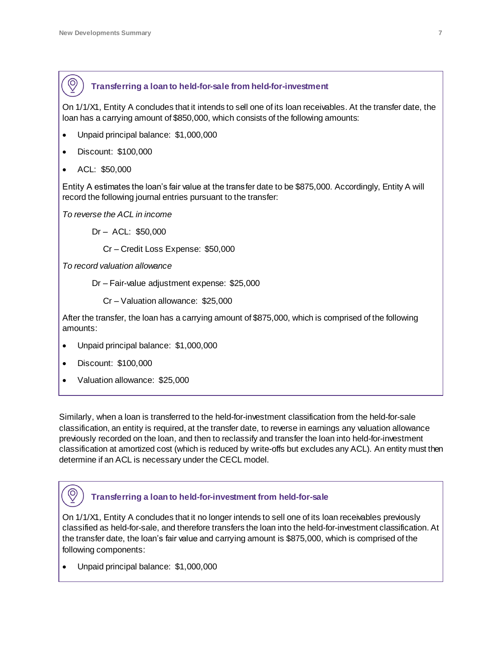## **Transferring a loan to held-for-sale from held-for-investment**

On 1/1/X1, Entity A concludes that it intends to sell one of its loan receivables. At the transfer date, the loan has a carrying amount of \$850,000, which consists of the following amounts:

- Unpaid principal balance: \$1,000,000
- Discount: \$100,000
- ACL: \$50,000

 $\circledcirc$ 

Entity A estimates the loan's fair value at the transfer date to be \$875,000. Accordingly, Entity A will record the following journal entries pursuant to the transfer:

*To reverse the ACL in income*

Dr – ACL: \$50,000

Cr – Credit Loss Expense: \$50,000

*To record valuation allowance*

Dr – Fair-value adjustment expense: \$25,000

Cr – Valuation allowance: \$25,000

After the transfer, the loan has a carrying amount of \$875,000, which is comprised of the following amounts:

- Unpaid principal balance: \$1,000,000
- Discount: \$100,000

 $\circledcirc$ 

Valuation allowance: \$25,000

Similarly, when a loan is transferred to the held-for-investment classification from the held-for-sale classification, an entity is required, at the transfer date, to reverse in earnings any valuation allowance previously recorded on the loan, and then to reclassify and transfer the loan into held-for-investment classification at amortized cost (which is reduced by write-offs but excludes any ACL). An entity must then determine if an ACL is necessary under the CECL model.

## **Transferring a loan to held-for-investment from held-for-sale**

On 1/1/X1, Entity A concludes that it no longer intends to sell one of its loan receivables previously classified as held-for-sale, and therefore transfers the loan into the held-for-investment classification. At the transfer date, the loan's fair value and carrying amount is \$875,000, which is comprised of the following components:

• Unpaid principal balance: \$1,000,000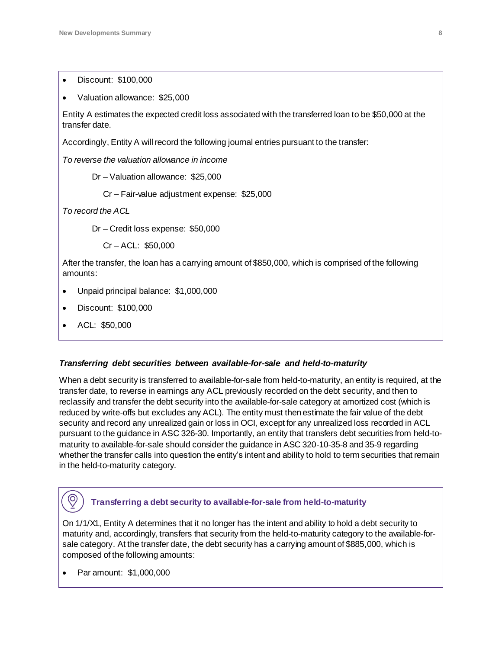Discount: \$100,000

| Valuation allowance: \$25,000                                                                                            |  |  |  |  |  |  |  |  |
|--------------------------------------------------------------------------------------------------------------------------|--|--|--|--|--|--|--|--|
| Entity A estimates the expected credit loss associated with the transferred loan to be \$50,000 at the<br>transfer date. |  |  |  |  |  |  |  |  |
| Accordingly, Entity A will record the following journal entries pursuant to the transfer:                                |  |  |  |  |  |  |  |  |
| To reverse the valuation allowance in income                                                                             |  |  |  |  |  |  |  |  |
| Dr – Valuation allowance: $$25,000$                                                                                      |  |  |  |  |  |  |  |  |
| Cr - Fair-value adjustment expense: \$25,000                                                                             |  |  |  |  |  |  |  |  |

*To record the ACL*

Dr – Credit loss expense: \$50,000

Cr – ACL: \$50,000

After the transfer, the loan has a carrying amount of \$850,000, which is comprised of the following amounts:

- Unpaid principal balance: \$1,000,000
- Discount: \$100,000
- ACL: \$50,000

#### *Transferring debt securities between available-for-sale and held-to-maturity*

When a debt security is transferred to available-for-sale from held-to-maturity, an entity is required, at the transfer date, to reverse in earnings any ACL previously recorded on the debt security, and then to reclassify and transfer the debt security into the available-for-sale category at amortized cost (which is reduced by write-offs but excludes any ACL). The entity must then estimate the fair value of the debt security and record any unrealized gain or loss in OCI, except for any unrealized loss recorded in ACL pursuant to the guidance in ASC 326-30. Importantly, an entity that transfers debt securities from held-tomaturity to available-for-sale should consider the guidance in ASC 320-10-35-8 and 35-9 regarding whether the transfer calls into question the entity's intent and ability to hold to term securities that remain in the held-to-maturity category.

## **Transferring a debt security to available-for-sale from held-to-maturity**

On 1/1/X1, Entity A determines that it no longer has the intent and ability to hold a debt security to maturity and, accordingly, transfers that security from the held-to-maturity category to the available-forsale category. At the transfer date, the debt security has a carrying amount of \$885,000, which is composed of the following amounts:

Par amount: \$1,000,000

 $\odot$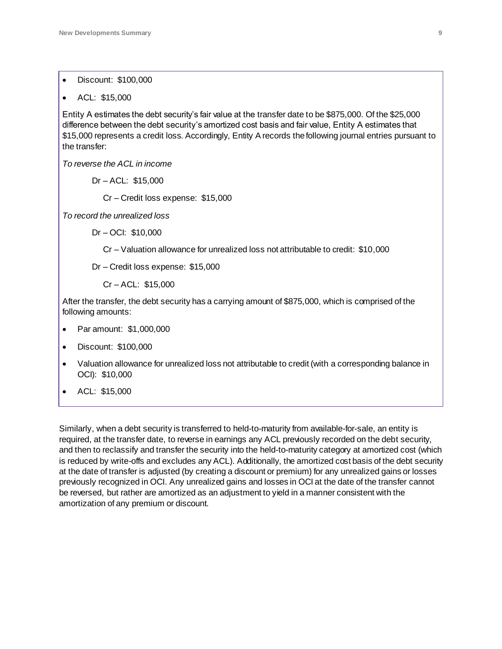- Discount: \$100,000
- ACL: \$15,000

Entity A estimates the debt security's fair value at the transfer date to be \$875,000. Of the \$25,000 difference between the debt security's amortized cost basis and fair value, Entity A estimates that \$15,000 represents a credit loss. Accordingly, Entity A records the following journal entries pursuant to the transfer:

*To reverse the ACL in income*

Dr – ACL: \$15,000

Cr – Credit loss expense: \$15,000

*To record the unrealized loss*

Dr – OCI: \$10,000

Cr – Valuation allowance for unrealized loss not attributable to credit: \$10,000

Dr – Credit loss expense: \$15,000

Cr – ACL: \$15,000

After the transfer, the debt security has a carrying amount of \$875,000, which is comprised of the following amounts:

- Par amount: \$1,000,000
- Discount: \$100,000
- Valuation allowance for unrealized loss not attributable to credit (with a corresponding balance in OCI): \$10,000
- ACL: \$15,000

Similarly, when a debt security is transferred to held-to-maturity from available-for-sale, an entity is required, at the transfer date, to reverse in earnings any ACL previously recorded on the debt security, and then to reclassify and transfer the security into the held-to-maturity category at amortized cost (which is reduced by write-offs and excludes any ACL). Additionally, the amortized cost basis of the debt security at the date of transfer is adjusted (by creating a discount or premium) for any unrealized gains or losses previously recognized in OCI. Any unrealized gains and losses in OCI at the date of the transfer cannot be reversed, but rather are amortized as an adjustment to yield in a manner consistent with the amortization of any premium or discount.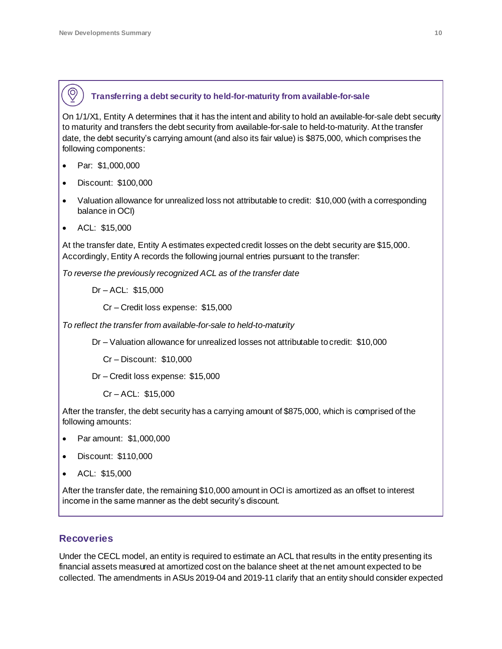## **Transferring a debt security to held-for-maturity from available-for-sale**

On 1/1/X1, Entity A determines that it has the intent and ability to hold an available-for-sale debt security to maturity and transfers the debt security from available-for-sale to held-to-maturity. At the transfer date, the debt security's carrying amount (and also its fair value) is \$875,000, which comprises the following components:

Par: \$1,000,000

 $\circledcirc$ 

- Discount: \$100,000
- Valuation allowance for unrealized loss not attributable to credit: \$10,000 (with a corresponding balance in OCI)
- ACL: \$15,000

At the transfer date, Entity A estimates expected credit losses on the debt security are \$15,000. Accordingly, Entity A records the following journal entries pursuant to the transfer:

*To reverse the previously recognized ACL as of the transfer date*

Dr – ACL: \$15,000

Cr – Credit loss expense: \$15,000

*To reflect the transfer from available-for-sale to held-to-maturity*

Dr – Valuation allowance for unrealized losses not attributable to credit: \$10,000

Cr – Discount: \$10,000

Dr – Credit loss expense: \$15,000

Cr – ACL: \$15,000

After the transfer, the debt security has a carrying amount of \$875,000, which is comprised of the following amounts:

- Par amount: \$1,000,000
- Discount: \$110,000
- ACL: \$15,000

After the transfer date, the remaining \$10,000 amount in OCI is amortized as an offset to interest income in the same manner as the debt security's discount.

## <span id="page-9-0"></span>**Recoveries**

Under the CECL model, an entity is required to estimate an ACL that results in the entity presenting its financial assets measured at amortized cost on the balance sheet at the net amount expected to be collected. The amendments in ASUs 2019-04 and 2019-11 clarify that an entity should consider expected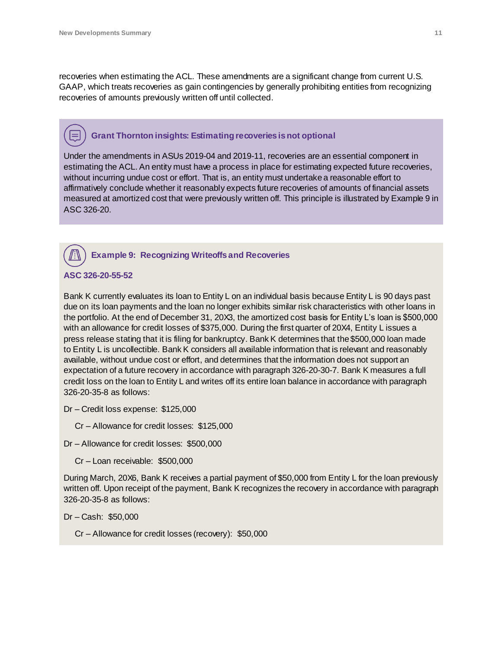recoveries when estimating the ACL. These amendments are a significant change from current U.S. GAAP, which treats recoveries as gain contingencies by generally prohibiting entities from recognizing recoveries of amounts previously written off until collected.

## **Grant Thornton insights: Estimating recoveries is not optional**

Under the amendments in ASUs 2019-04 and 2019-11, recoveries are an essential component in estimating the ACL. An entity must have a process in place for estimating expected future recoveries, without incurring undue cost or effort. That is, an entity must undertake a reasonable effort to affirmatively conclude whether it reasonably expects future recoveries of amounts of financial assets measured at amortized cost that were previously written off. This principle is illustrated by Example 9 in ASC 326-20.

#### **Example 9: Recognizing Writeoffs and Recoveries**

**ASC 326-20-55-52**

Bank K currently evaluates its loan to Entity L on an individual basis because Entity L is 90 days past due on its loan payments and the loan no longer exhibits similar risk characteristics with other loans in the portfolio. At the end of December 31, 20X3, the amortized cost basis for Entity L's loan is \$500,000 with an allowance for credit losses of \$375,000. During the first quarter of 20X4, Entity L issues a press release stating that it is filing for bankruptcy. Bank K determines that the \$500,000 loan made to Entity L is uncollectible. Bank K considers all available information that is relevant and reasonably available, without undue cost or effort, and determines that the information does not support an expectation of a future recovery in accordance with paragraph 326-20-30-7. Bank K measures a full credit loss on the loan to Entity L and writes off its entire loan balance in accordance with paragraph 326-20-35-8 as follows:

Dr – Credit loss expense: \$125,000

Cr – Allowance for credit losses: \$125,000

Dr – Allowance for credit losses: \$500,000

Cr – Loan receivable: \$500,000

During March, 20X6, Bank K receives a partial payment of \$50,000 from Entity L for the loan previously written off. Upon receipt of the payment, Bank K recognizes the recovery in accordance with paragraph 326-20-35-8 as follows:

Dr – Cash: \$50,000

Cr – Allowance for credit losses (recovery): \$50,000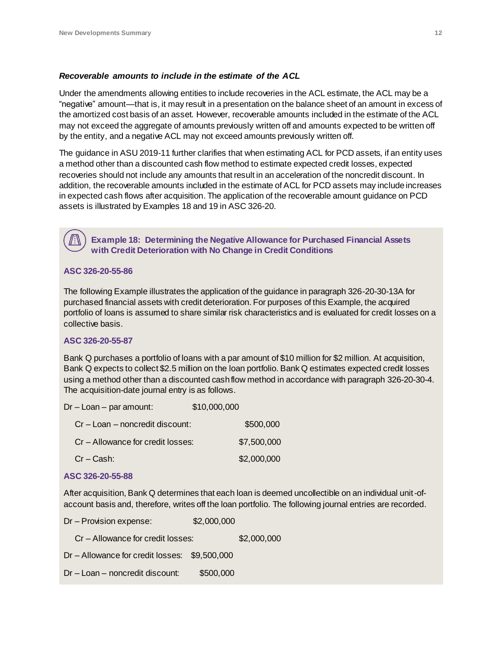#### *Recoverable amounts to include in the estimate of the ACL*

Under the amendments allowing entities to include recoveries in the ACL estimate, the ACL may be a "negative" amount—that is, it may result in a presentation on the balance sheet of an amount in excess of the amortized cost basis of an asset. However, recoverable amounts included in the estimate of the ACL may not exceed the aggregate of amounts previously written off and amounts expected to be written off by the entity, and a negative ACL may not exceed amounts previously written off.

The guidance in ASU 2019-11 further clarifies that when estimating ACL for PCD assets, if an entity uses a method other than a discounted cash flow method to estimate expected credit losses, expected recoveries should not include any amounts that result in an acceleration of the noncredit discount. In addition, the recoverable amounts included in the estimate of ACL for PCD assets may include increases in expected cash flows after acquisition. The application of the recoverable amount guidance on PCD assets is illustrated by Examples 18 and 19 in ASC 326-20.

 **Example 18: Determining the Negative Allowance for Purchased Financial Assets with Credit Deterioration with No Change in Credit Conditions**

#### **ASC 326-20-55-86**

The following Example illustrates the application of the guidance in paragraph 326-20-30-13A for purchased financial assets with credit deterioration. For purposes of this Example, the acquired portfolio of loans is assumed to share similar risk characteristics and is evaluated for credit losses on a collective basis.

#### **ASC 326-20-55-87**

Bank Q purchases a portfolio of loans with a par amount of \$10 million for \$2 million. At acquisition, Bank Q expects to collect \$2.5 million on the loan portfolio. Bank Q estimates expected credit losses using a method other than a discounted cash flow method in accordance with paragraph 326-20-30-4. The acquisition-date journal entry is as follows.

| $Dr - Loan - par amount:$         | \$10,000,000 |             |
|-----------------------------------|--------------|-------------|
| Cr - Loan - noncredit discount:   |              | \$500,000   |
| Cr – Allowance for credit losses: |              | \$7,500,000 |
| $Cr - Cash$ :                     |              | \$2,000,000 |

#### **ASC 326-20-55-88**

After acquisition, Bank Q determines that each loan is deemed uncollectible on an individual unit-ofaccount basis and, therefore, writes off the loan portfolio. The following journal entries are recorded.

Dr – Provision expense: \$2,000,000 Cr – Allowance for credit losses: \$2,000,000 Dr – Allowance for credit losses: \$9,500,000 Dr – Loan – noncredit discount: \$500,000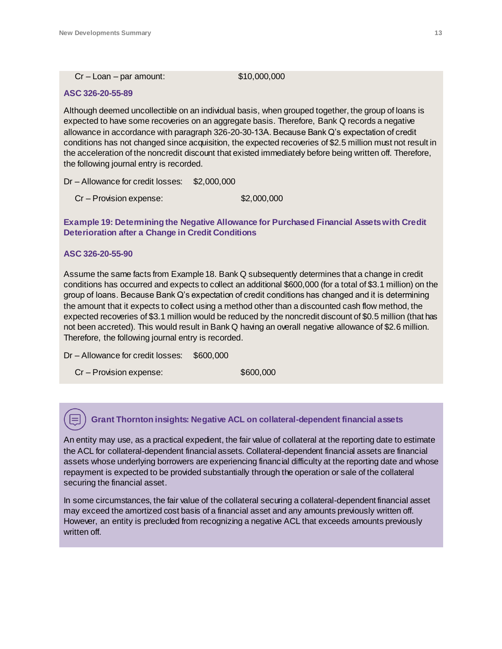#### Cr – Loan – par amount: \$10,000,000

#### **ASC 326-20-55-89**

Although deemed uncollectible on an individual basis, when grouped together, the group of loans is expected to have some recoveries on an aggregate basis. Therefore, Bank Q records a negative allowance in accordance with paragraph 326-20-30-13A. Because Bank Q's expectation of credit conditions has not changed since acquisition, the expected recoveries of \$2.5 million must not result in the acceleration of the noncredit discount that existed immediately before being written off. Therefore, the following journal entry is recorded.

Dr – Allowance for credit losses: \$2,000,000

Cr – Provision expense: \$2,000,000

#### **Example 19: Determining the Negative Allowance for Purchased Financial Assets with Credit Deterioration after a Change in Credit Conditions**

#### **ASC 326-20-55-90**

Assume the same facts from Example 18. Bank Q subsequently determines that a change in credit conditions has occurred and expects to collect an additional \$600,000 (for a total of \$3.1 million) on the group of loans. Because Bank Q's expectation of credit conditions has changed and it is determining the amount that it expects to collect using a method other than a discounted cash flow method, the expected recoveries of \$3.1 million would be reduced by the noncredit discount of \$0.5 million (that has not been accreted). This would result in Bank Q having an overall negative allowance of \$2.6 million. Therefore, the following journal entry is recorded.

Dr – Allowance for credit losses: \$600,000

Cr – Provision expense:  $$600,000$ 

#### **Grant Thornton insights: Negative ACL on collateral-dependent financial assets**

An entity may use, as a practical expedient, the fair value of collateral at the reporting date to estimate the ACL for collateral-dependent financial assets. Collateral-dependent financial assets are financial assets whose underlying borrowers are experiencing financial difficulty at the reporting date and whose repayment is expected to be provided substantially through the operation or sale of the collateral securing the financial asset.

In some circumstances, the fair value of the collateral securing a collateral-dependent financial asset may exceed the amortized cost basis of a financial asset and any amounts previously written off. However, an entity is precluded from recognizing a negative ACL that exceeds amounts previously written off.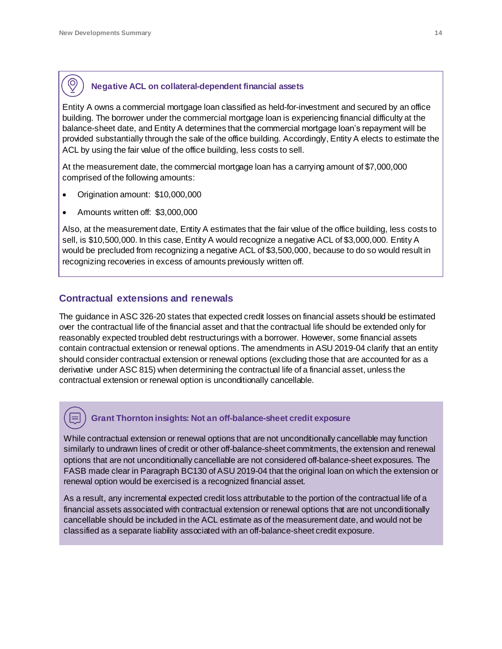$\circledcirc$ 

## **Negative ACL on collateral-dependent financial assets**

Entity A owns a commercial mortgage loan classified as held-for-investment and secured by an office building. The borrower under the commercial mortgage loan is experiencing financial difficulty at the balance-sheet date, and Entity A determines that the commercial mortgage loan's repayment will be provided substantially through the sale of the office building. Accordingly, Entity A elects to estimate the ACL by using the fair value of the office building, less costs to sell.

At the measurement date, the commercial mortgage loan has a carrying amount of \$7,000,000 comprised of the following amounts:

- Origination amount: \$10,000,000
- Amounts written off: \$3,000,000

Also, at the measurement date, Entity A estimates that the fair value of the office building, less costs to sell, is \$10,500,000. In this case, Entity A would recognize a negative ACL of \$3,000,000. Entity A would be precluded from recognizing a negative ACL of \$3,500,000, because to do so would result in recognizing recoveries in excess of amounts previously written off.

## <span id="page-13-0"></span>**Contractual extensions and renewals**

The guidance in ASC 326-20 states that expected credit losses on financial assets should be estimated over the contractual life of the financial asset and that the contractual life should be extended only for reasonably expected troubled debt restructurings with a borrower. However, some financial assets contain contractual extension or renewal options. The amendments in ASU 2019-04 clarify that an entity should consider contractual extension or renewal options (excluding those that are accounted for as a derivative under ASC 815) when determining the contractual life of a financial asset, unless the contractual extension or renewal option is unconditionally cancellable.

## **Grant Thornton insights: Not an off-balance-sheet credit exposure**

While contractual extension or renewal options that are not unconditionally cancellable may function similarly to undrawn lines of credit or other off-balance-sheet commitments, the extension and renewal options that are not unconditionally cancellable are not considered off-balance-sheet exposures. The FASB made clear in Paragraph BC130 of ASU 2019-04 that the original loan on which the extension or renewal option would be exercised is a recognized financial asset.

As a result, any incremental expected credit loss attributable to the portion of the contractual life of a financial assets associated with contractual extension or renewal options that are not unconditionally cancellable should be included in the ACL estimate as of the measurement date, and would not be classified as a separate liability associated with an off-balance-sheet credit exposure.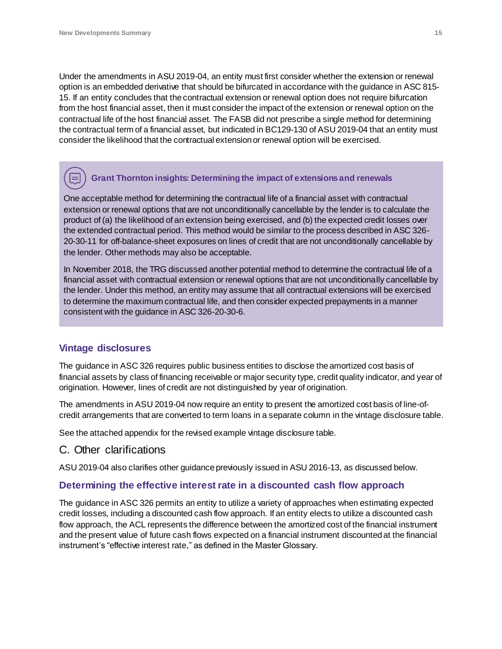Under the amendments in ASU 2019-04, an entity must first consider whether the extension or renewal option is an embedded derivative that should be bifurcated in accordance with the guidance in ASC 815- 15. If an entity concludes that the contractual extension or renewal option does not require bifurcation from the host financial asset, then it must consider the impact of the extension or renewal option on the contractual life of the host financial asset. The FASB did not prescribe a single method for determining the contractual term of a financial asset, but indicated in BC129-130 of ASU 2019-04 that an entity must consider the likelihood that the contractual extension or renewal option will be exercised.

## **Grant Thornton insights: Determining the impact of extensions and renewals**

One acceptable method for determining the contractual life of a financial asset with contractual extension or renewal options that are not unconditionally cancellable by the lender is to calculate the product of (a) the likelihood of an extension being exercised, and (b) the expected credit losses over the extended contractual period. This method would be similar to the process described in ASC 326- 20-30-11 for off-balance-sheet exposures on lines of credit that are not unconditionally cancellable by the lender. Other methods may also be acceptable.

In November 2018, the TRG discussed another potential method to determine the contractual life of a financial asset with contractual extension or renewal options that are not unconditionally cancellable by the lender. Under this method, an entity may assume that all contractual extensions will be exercised to determine the maximum contractual life, and then consider expected prepayments in a manner consistent with the guidance in ASC 326-20-30-6.

## <span id="page-14-0"></span>**Vintage disclosures**

The guidance in ASC 326 requires public business entities to disclose the amortized cost basis of financial assets by class of financing receivable or major security type, credit quality indicator, and year of origination. However, lines of credit are not distinguished by year of origination.

The amendments in ASU 2019-04 now require an entity to present the amortized cost basis of line-ofcredit arrangements that are converted to term loans in a separate column in the vintage disclosure table.

See the attached appendix for the revised example vintage disclosure table.

## <span id="page-14-1"></span>C. Other clarifications

ASU 2019-04 also clarifies other guidance previously issued in ASU 2016-13, as discussed below.

#### <span id="page-14-2"></span>**Determining the effective interest rate in a discounted cash flow approach**

The guidance in ASC 326 permits an entity to utilize a variety of approaches when estimating expected credit losses, including a discounted cash flow approach. If an entity elects to utilize a discounted cash flow approach, the ACL represents the difference between the amortized cost of the financial instrument and the present value of future cash flows expected on a financial instrument discounted at the financial instrument's "effective interest rate," as defined in the Master Glossary.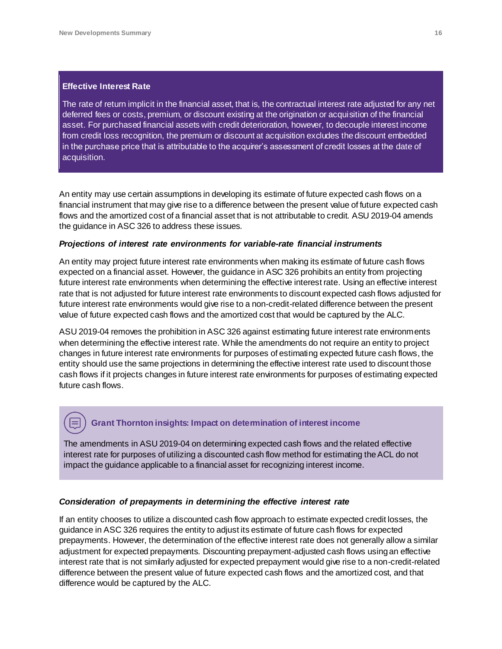#### **Effective Interest Rate**

The rate of return implicit in the financial asset, that is, the contractual interest rate adjusted for any net deferred fees or costs, premium, or discount existing at the origination or acquisition of the financial asset. For purchased financial assets with credit deterioration, however, to decouple interest income from credit loss recognition, the premium or discount at acquisition excludes the discount embedded in the purchase price that is attributable to the acquirer's assessment of credit losses at the date of acquisition.

An entity may use certain assumptions in developing its estimate of future expected cash flows on a financial instrument that may give rise to a difference between the present value of future expected cash flows and the amortized cost of a financial asset that is not attributable to credit. ASU 2019-04 amends the guidance in ASC 326 to address these issues.

#### *Projections of interest rate environments for variable-rate financial instruments*

An entity may project future interest rate environments when making its estimate of future cash flows expected on a financial asset. However, the guidance in ASC 326 prohibits an entity from projecting future interest rate environments when determining the effective interest rate. Using an effective interest rate that is not adjusted for future interest rate environments to discount expected cash flows adjusted for future interest rate environments would give rise to a non-credit-related difference between the present value of future expected cash flows and the amortized cost that would be captured by the ALC.

ASU 2019-04 removes the prohibition in ASC 326 against estimating future interest rate environments when determining the effective interest rate. While the amendments do not require an entity to project changes in future interest rate environments for purposes of estimating expected future cash flows, the entity should use the same projections in determining the effective interest rate used to discount those cash flows if it projects changes in future interest rate environments for purposes of estimating expected future cash flows.

#### **Grant Thornton insights: Impact on determination of interest income**

The amendments in ASU 2019-04 on determining expected cash flows and the related effective interest rate for purposes of utilizing a discounted cash flow method for estimating the ACL do not impact the guidance applicable to a financial asset for recognizing interest income*.*

#### *Consideration of prepayments in determining the effective interest rate*

If an entity chooses to utilize a discounted cash flow approach to estimate expected credit losses, the guidance in ASC 326 requires the entity to adjust its estimate of future cash flows for expected prepayments. However, the determination of the effective interest rate does not generally allow a similar adjustment for expected prepayments. Discounting prepayment-adjusted cash flows using an effective interest rate that is not similarly adjusted for expected prepayment would give rise to a non-credit-related difference between the present value of future expected cash flows and the amortized cost, and that difference would be captured by the ALC.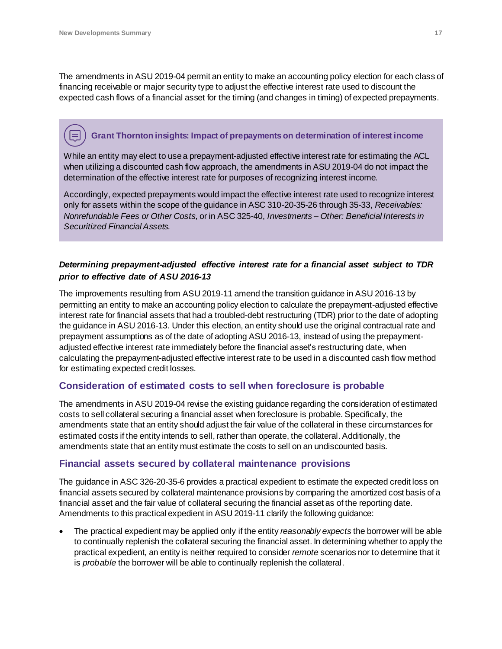The amendments in ASU 2019-04 permit an entity to make an accounting policy election for each class of financing receivable or major security type to adjust the effective interest rate used to discount the expected cash flows of a financial asset for the timing (and changes in timing) of expected prepayments.

## **Grant Thornton insights: Impact of prepaymentson determination of interest income**

While an entity may elect to use a prepayment-adjusted effective interest rate for estimating the ACL when utilizing a discounted cash flow approach, the amendments in ASU 2019-04 do not impact the determination of the effective interest rate for purposes of recognizing interest income.

Accordingly, expected prepayments would impact the effective interest rate used to recognize interest only for assets within the scope of the guidance in ASC 310-20-35-26 through 35-33, *Receivables: Nonrefundable Fees or Other Costs,* or in ASC 325-40, *Investments – Other: Beneficial Interests in Securitized Financial Assets.*

### *Determining prepayment-adjusted effective interest rate for a financial asset subject to TDR prior to effective date of ASU 2016-13*

The improvements resulting from ASU 2019-11 amend the transition guidance in ASU 2016-13 by permitting an entity to make an accounting policy election to calculate the prepayment-adjusted effective interest rate for financial assets that had a troubled-debt restructuring (TDR) prior to the date of adopting the guidance in ASU 2016-13. Under this election, an entity should use the original contractual rate and prepayment assumptions as of the date of adopting ASU 2016-13, instead of using the prepaymentadjusted effective interest rate immediately before the financial asset's restructuring date, when calculating the prepayment-adjusted effective interest rate to be used in a discounted cash flow method for estimating expected credit losses.

## <span id="page-16-0"></span>**Consideration of estimated costs to sell when foreclosure is probable**

The amendments in ASU 2019-04 revise the existing guidance regarding the consideration of estimated costs to sell collateral securing a financial asset when foreclosure is probable. Specifically, the amendments state that an entity should adjust the fair value of the collateral in these circumstances for estimated costs if the entity intends to sell, rather than operate, the collateral. Additionally, the amendments state that an entity must estimate the costs to sell on an undiscounted basis.

## <span id="page-16-1"></span>**Financial assets secured by collateral maintenance provisions**

The guidance in ASC 326-20-35-6 provides a practical expedient to estimate the expected credit loss on financial assets secured by collateral maintenance provisions by comparing the amortized cost basis of a financial asset and the fair value of collateral securing the financial asset as of the reporting date. Amendments to this practical expedient in ASU 2019-11 clarify the following guidance:

 The practical expedient may be applied only if the entity *reasonably expects* the borrower will be able to continually replenish the collateral securing the financial asset. In determining whether to apply the practical expedient, an entity is neither required to consider *remote* scenarios nor to determine that it is *probable* the borrower will be able to continually replenish the collateral.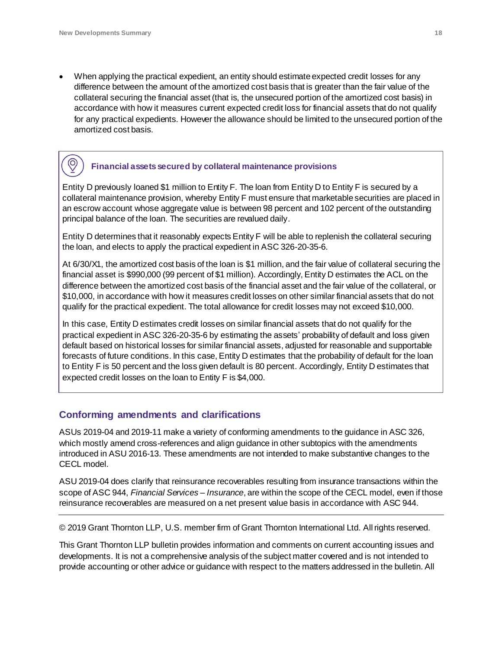$\overline{\mathcal{O}}$ 

 When applying the practical expedient, an entity should estimate expected credit losses for any difference between the amount of the amortized cost basis that is greater than the fair value of the collateral securing the financial asset (that is, the unsecured portion of the amortized cost basis) in accordance with how it measures current expected credit loss for financial assets that do not qualify for any practical expedients. However the allowance should be limited to the unsecured portion of the amortized cost basis.

## **Financial assets secured by collateral maintenance provisions**

Entity D previously loaned \$1 million to Entity F. The loan from Entity D to Entity F is secured by a collateral maintenance provision, whereby Entity F must ensure that marketable securities are placed in an escrow account whose aggregate value is between 98 percent and 102 percent of the outstanding principal balance of the loan. The securities are revalued daily.

Entity D determines that it reasonably expects Entity F will be able to replenish the collateral securing the loan, and elects to apply the practical expedient in ASC 326-20-35-6.

At 6/30/X1, the amortized cost basis of the loan is \$1 million, and the fair value of collateral securing the financial asset is \$990,000 (99 percent of \$1 million). Accordingly, Entity D estimates the ACL on the difference between the amortized cost basis of the financial asset and the fair value of the collateral, or \$10,000, in accordance with how it measures credit losses on other similar financial assets that do not qualify for the practical expedient. The total allowance for credit losses may not exceed \$10,000.

In this case, Entity D estimates credit losses on similar financial assets that do not qualify for the practical expedient in ASC 326-20-35-6 by estimating the assets' probability of default and loss given default based on historical losses for similar financial assets, adjusted for reasonable and supportable forecasts of future conditions. In this case, Entity D estimates that the probability of default for the loan to Entity F is 50 percent and the loss given default is 80 percent. Accordingly, Entity D estimates that expected credit losses on the loan to Entity F is \$4,000.

#### <span id="page-17-0"></span>**Conforming amendments and clarifications**

ASUs 2019-04 and 2019-11 make a variety of conforming amendments to the guidance in ASC 326, which mostly amend cross-references and align guidance in other subtopics with the amendments introduced in ASU 2016-13. These amendments are not intended to make substantive changes to the CECL model.

ASU 2019-04 does clarify that reinsurance recoverables resulting from insurance transactions within the scope of ASC 944, *Financial Services – Insurance*, are within the scope of the CECL model, even if those reinsurance recoverables are measured on a net present value basis in accordance with ASC 944.

© 2019 Grant Thornton LLP, U.S. member firm of Grant Thornton International Ltd. All rights reserved.

This Grant Thornton LLP bulletin provides information and comments on current accounting issues and developments. It is not a comprehensive analysis of the subject matter covered and is not intended to provide accounting or other advice or guidance with respect to the matters addressed in the bulletin. All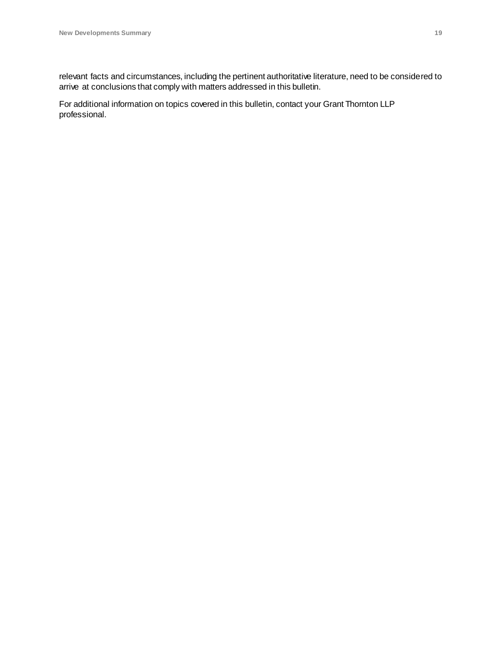relevant facts and circumstances, including the pertinent authoritative literature, need to be considered to arrive at conclusions that comply with matters addressed in this bulletin.

For additional information on topics covered in this bulletin, contact your Grant Thornton LLP professional.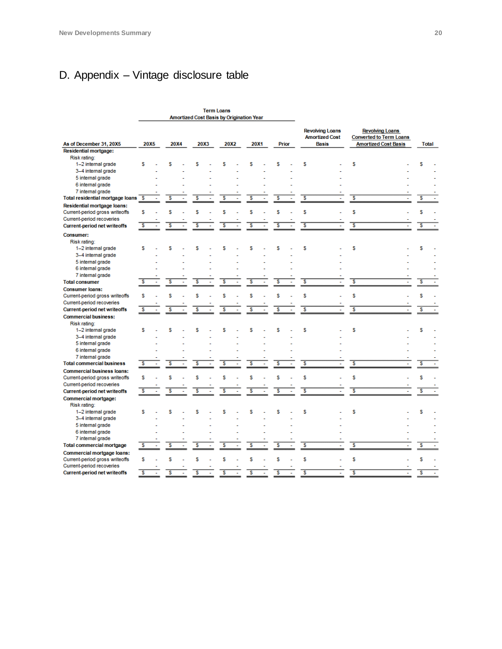## <span id="page-19-0"></span>D. Appendix – Vintage disclosure table

|                                         | <b>Term Loans</b><br>Amortized Cost Basis by Origination Year |              |   |  |      |  |                         |  |      |  |              |  |                                                 |  |                                                                                         |  |  |              |  |
|-----------------------------------------|---------------------------------------------------------------|--------------|---|--|------|--|-------------------------|--|------|--|--------------|--|-------------------------------------------------|--|-----------------------------------------------------------------------------------------|--|--|--------------|--|
|                                         |                                                               |              |   |  |      |  |                         |  |      |  |              |  |                                                 |  |                                                                                         |  |  |              |  |
|                                         |                                                               |              |   |  |      |  |                         |  |      |  |              |  | <b>Revolving Loans</b><br><b>Amortized Cost</b> |  | <b>Revolving Loans</b><br><b>Converted to Term Loans</b><br><b>Amortized Cost Basis</b> |  |  |              |  |
| As of December 31, 20X5                 |                                                               | 20X5<br>20X4 |   |  | 20X3 |  | 20X2                    |  | 20X1 |  | <b>Prior</b> |  | <b>Basis</b>                                    |  |                                                                                         |  |  | <b>Total</b> |  |
| <b>Residential mortgage:</b>            |                                                               |              |   |  |      |  |                         |  |      |  |              |  |                                                 |  |                                                                                         |  |  |              |  |
| Risk rating:                            |                                                               |              | s |  |      |  | S                       |  | s    |  |              |  | s                                               |  | s                                                                                       |  |  |              |  |
| 1-2 internal grade                      | s                                                             |              |   |  | s    |  |                         |  |      |  | s            |  |                                                 |  |                                                                                         |  |  | s            |  |
| 3-4 internal grade                      |                                                               |              |   |  |      |  |                         |  |      |  |              |  |                                                 |  |                                                                                         |  |  |              |  |
| 5 internal grade                        |                                                               |              |   |  |      |  |                         |  |      |  |              |  |                                                 |  |                                                                                         |  |  |              |  |
| 6 internal grade                        |                                                               |              |   |  |      |  |                         |  |      |  |              |  |                                                 |  |                                                                                         |  |  |              |  |
| 7 internal grade                        |                                                               |              |   |  |      |  |                         |  |      |  |              |  |                                                 |  |                                                                                         |  |  |              |  |
| <b>Total residential mortgage loans</b> | s                                                             |              | s |  | s    |  | s                       |  | s    |  | s            |  | s                                               |  | s                                                                                       |  |  | s            |  |
| Residential mortgage loans:             |                                                               |              |   |  |      |  |                         |  |      |  |              |  |                                                 |  |                                                                                         |  |  |              |  |
| Current-period gross writeoffs          | s                                                             |              | s |  | s    |  | s                       |  | s    |  | s            |  | s                                               |  | s                                                                                       |  |  | s            |  |
| Current-period recoveries               |                                                               |              |   |  |      |  |                         |  |      |  |              |  |                                                 |  |                                                                                         |  |  |              |  |
| <b>Current-period net writeoffs</b>     | 3                                                             |              | s |  | s    |  | 3                       |  | 3    |  | ड            |  | 3                                               |  | 3                                                                                       |  |  | s            |  |
| Consumer:                               |                                                               |              |   |  |      |  |                         |  |      |  |              |  |                                                 |  |                                                                                         |  |  |              |  |
| Risk rating:                            |                                                               |              |   |  |      |  |                         |  |      |  |              |  |                                                 |  |                                                                                         |  |  |              |  |
| 1-2 internal grade                      | s                                                             |              | s |  | s    |  | s                       |  | s    |  | s            |  | s                                               |  | s                                                                                       |  |  | s            |  |
| 3-4 internal grade                      |                                                               |              |   |  |      |  |                         |  |      |  |              |  |                                                 |  |                                                                                         |  |  |              |  |
| 5 internal grade                        |                                                               |              |   |  |      |  |                         |  |      |  |              |  |                                                 |  |                                                                                         |  |  |              |  |
| 6 internal grade                        |                                                               |              |   |  |      |  |                         |  |      |  |              |  |                                                 |  |                                                                                         |  |  |              |  |
| 7 internal grade                        |                                                               |              |   |  |      |  |                         |  |      |  |              |  |                                                 |  |                                                                                         |  |  |              |  |
| <b>Total consumer</b>                   | s                                                             |              | s |  | s    |  | s                       |  | s    |  | s            |  | s                                               |  | 3                                                                                       |  |  | s            |  |
| <b>Consumer loans:</b>                  |                                                               |              |   |  |      |  |                         |  |      |  |              |  |                                                 |  |                                                                                         |  |  |              |  |
| Current-period gross writeoffs          | s                                                             |              | s |  | s    |  | s                       |  | s    |  | s            |  | S                                               |  | s                                                                                       |  |  | s            |  |
| Current-period recoveries               |                                                               |              |   |  |      |  |                         |  |      |  |              |  |                                                 |  |                                                                                         |  |  |              |  |
| <b>Current-period net writeoffs</b>     | s                                                             |              | s |  | S    |  | s                       |  | s    |  | S            |  | s                                               |  | s                                                                                       |  |  | s            |  |
|                                         |                                                               |              |   |  |      |  |                         |  |      |  |              |  |                                                 |  |                                                                                         |  |  |              |  |
| <b>Commercial business:</b>             |                                                               |              |   |  |      |  |                         |  |      |  |              |  |                                                 |  |                                                                                         |  |  |              |  |
| Risk rating:                            |                                                               |              |   |  |      |  |                         |  |      |  |              |  |                                                 |  |                                                                                         |  |  |              |  |
| 1-2 internal grade                      | s                                                             |              | s |  | s    |  | s                       |  | s    |  | s            |  | s                                               |  | s                                                                                       |  |  | s            |  |
| 3-4 internal grade                      |                                                               |              |   |  |      |  |                         |  |      |  |              |  |                                                 |  |                                                                                         |  |  |              |  |
| 5 internal grade                        |                                                               |              |   |  |      |  |                         |  |      |  |              |  |                                                 |  |                                                                                         |  |  |              |  |
| 6 internal grade                        |                                                               |              |   |  |      |  |                         |  |      |  |              |  |                                                 |  |                                                                                         |  |  |              |  |
| 7 internal grade                        |                                                               |              |   |  |      |  |                         |  |      |  |              |  |                                                 |  |                                                                                         |  |  |              |  |
| <b>Total commercial business</b>        | $\overline{\mathbf{s}}$                                       |              | s |  | s    |  | $\overline{\mathbf{s}}$ |  | s    |  | s            |  | s                                               |  | 3                                                                                       |  |  | s            |  |
| <b>Commercial business loans:</b>       |                                                               |              |   |  |      |  |                         |  |      |  |              |  |                                                 |  |                                                                                         |  |  |              |  |
| Current-period gross writeoffs          | s                                                             |              | s |  | s    |  | s                       |  | s    |  | s            |  | s                                               |  | s                                                                                       |  |  | s            |  |
| Current-period recoveries               |                                                               |              |   |  |      |  |                         |  |      |  |              |  |                                                 |  |                                                                                         |  |  |              |  |
| <b>Current-period net writeoffs</b>     | $\overline{\mathsf{s}}$                                       |              | s |  | s    |  | s                       |  | s    |  | 3            |  | $\overline{\mathbf{s}}$                         |  | 3                                                                                       |  |  | s            |  |
| Commercial mortgage:                    |                                                               |              |   |  |      |  |                         |  |      |  |              |  |                                                 |  |                                                                                         |  |  |              |  |
| Risk rating:                            |                                                               |              |   |  |      |  |                         |  |      |  |              |  |                                                 |  |                                                                                         |  |  |              |  |
| 1-2 internal grade                      | S                                                             |              | s |  | s    |  | s                       |  | s    |  | s            |  | s                                               |  | s                                                                                       |  |  | s            |  |
| 3-4 internal grade                      |                                                               |              |   |  |      |  |                         |  |      |  |              |  |                                                 |  |                                                                                         |  |  |              |  |
| 5 internal grade                        |                                                               |              |   |  |      |  |                         |  |      |  |              |  |                                                 |  |                                                                                         |  |  |              |  |
| 6 internal grade                        |                                                               |              |   |  |      |  |                         |  |      |  |              |  |                                                 |  |                                                                                         |  |  |              |  |
| 7 internal grade                        |                                                               |              |   |  |      |  |                         |  |      |  |              |  |                                                 |  |                                                                                         |  |  |              |  |
| <b>Total commercial mortgage</b>        | $\overline{\mathbf{s}}$                                       |              | s |  | s    |  | s                       |  | s    |  | s            |  | \$                                              |  | $\overline{\mathsf{s}}$                                                                 |  |  | s            |  |
| Commercial mortgage loans:              |                                                               |              |   |  |      |  |                         |  |      |  |              |  |                                                 |  |                                                                                         |  |  |              |  |
| Current-period gross writeoffs          | s                                                             |              | s |  |      |  | s                       |  | s    |  | s            |  | s                                               |  | s                                                                                       |  |  | s            |  |
| Current-period recoveries               |                                                               |              |   |  |      |  |                         |  |      |  |              |  |                                                 |  |                                                                                         |  |  |              |  |
| <b>Current-period net writeoffs</b>     | $\overline{\mathsf{s}}$                                       |              |   |  |      |  | s                       |  |      |  | s            |  | $\overline{\mathsf{s}}$                         |  | $\overline{\mathsf{s}}$                                                                 |  |  | s            |  |
|                                         |                                                               |              |   |  |      |  |                         |  |      |  |              |  |                                                 |  |                                                                                         |  |  |              |  |